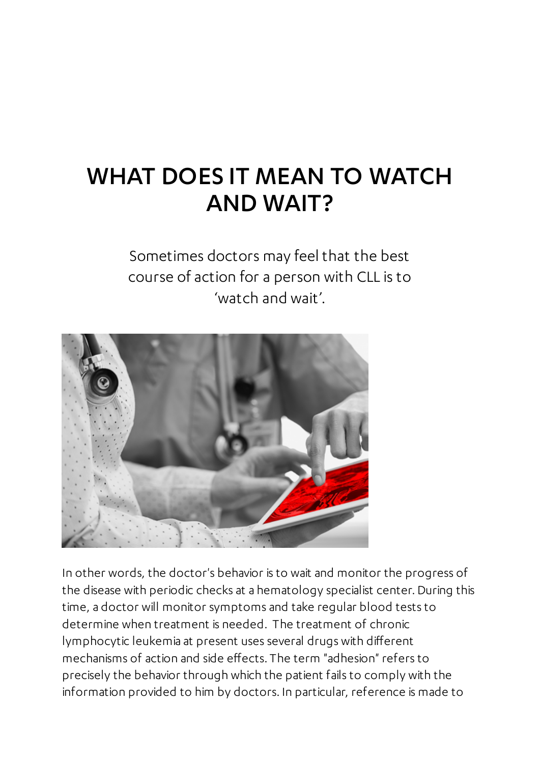# WHAT DOES IT MEAN TO WATCH AND WAIT?

Sometimes doctors may feel that the best course of action for a person with CLL is to 'watch and wait'.



In other words, the doctor's behavior is to wait and monitor the progress of the disease with periodic checks at a hematology specialist center. During this time, a doctor will monitor symptoms and take regular blood tests to determine when treatment is needed. The treatment of chronic lymphocytic leukemia at present uses several drugs with different mechanisms of action and side effects. The term "adhesion" refers to precisely the behavior through which the patient fails to comply with the information provided to him by doctors. In particular, reference is made to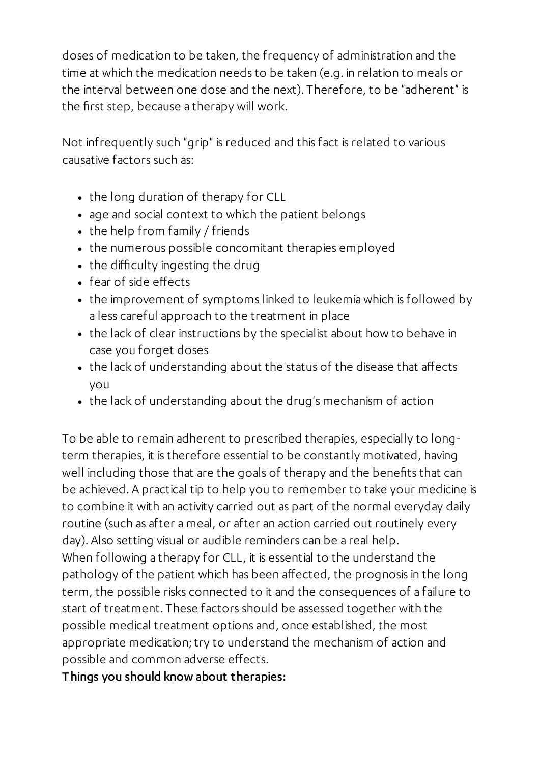doses of medication to be taken, the frequency of administration and the time at which the medication needs to be taken (e.g. in relation to meals or the interval between one dose and the next). Therefore, to be "adherent" is the first step, because a therapy will work.

Not infrequently such "grip" is reduced and this fact is related to various causative factors such as:

- the long duration of therapy for CLL
- age and social context to which the patient belongs
- the help from family / friends
- the numerous possible concomitant therapies employed
- the difficulty ingesting the drug
- fear of side effects
- the improvement of symptoms linked to leukemia which is followed by a less careful approach to the treatment in place
- the lack of clear instructions by the specialist about how to behave in case you forget doses
- the lack of understanding about the status of the disease that affects you
- the lack of understanding about the drug's mechanism of action

To be able to remain adherent to prescribed therapies, especially to longterm therapies, it is therefore essential to be constantly motivated, having well including those that are the goals of therapy and the benefits that can be achieved. A practical tip to help you to remember to take your medicine is to combine it with an activity carried out as part of the normal everyday daily routine (such as after a meal, or after an action carried out routinely every day). Also setting visual or audible reminders can be a real help. When following a therapy for CLL, it is essential to the understand the pathology of the patient which has been affected, the prognosis in the long term, the possible risks connected to it and the consequences of a failure to start of treatment. These factors should be assessed together with the possible medical treatment options and, once established, the most

appropriate medication; try to understand the mechanism of action and possible and common adverse effects.

Things you should know about therapies: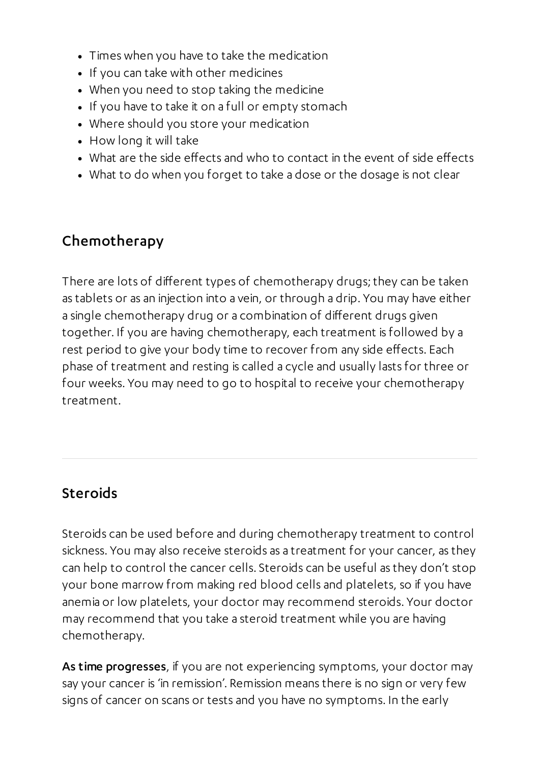- Times when you have to take the medication
- If you can take with other medicines
- When you need to stop taking the medicine
- If you have to take it on a full or empty stomach
- Where should you store your medication
- How long it will take
- What are the side effects and who to contact in the event of side effects
- What to do when you forget to take a dose or the dosage is not clear

#### Chemotherapy

There are lots of different types of chemotherapy drugs; they can be taken as tablets or as an injection into a vein, or through a drip. You may have either a single chemotherapy drug or a combination of different drugs given together. If you are having chemotherapy, each treatment is followed by a rest period to give your body time to recover from any side effects. Each phase of treatment and resting is called a cycle and usually lasts for three or four weeks. You may need to go to hospital to receive your chemotherapy treatment.

#### Steroids

Steroids can be used before and during chemotherapy treatment to control sickness. You may also receive steroids as a treatment for your cancer, as they can help to control the cancer cells. Steroids can be useful as they don't stop your bone marrow from making red blood cells and platelets, so if you have anemia or low platelets, your doctor may recommend steroids. Your doctor may recommend that you take a steroid treatment while you are having chemotherapy.

As time progresses, if you are not experiencing symptoms, your doctor may say your cancer is 'in remission'. Remission means there is no sign or very few signs of cancer on scans or tests and you have no symptoms. In the early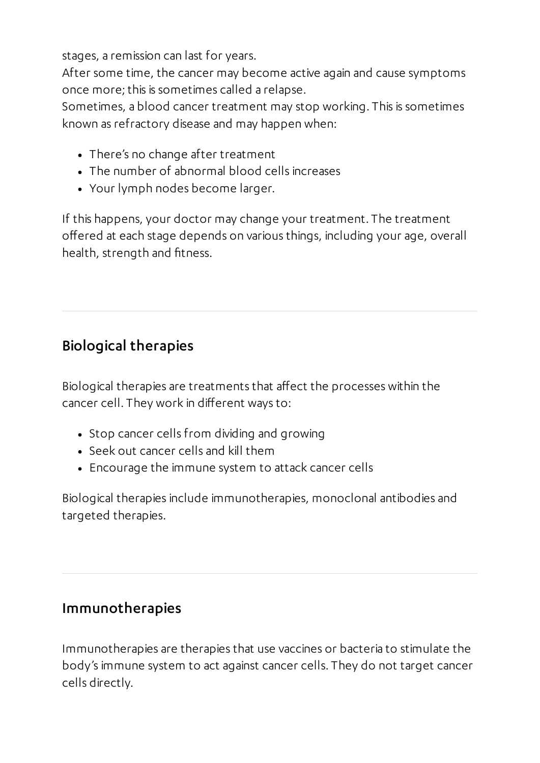stages, a remission can last for years.

After some time, the cancer may become active again and cause symptoms once more; this is sometimes called a relapse.

Sometimes, a blood cancer treatment may stop working. This is sometimes known as refractory disease and may happen when:

- There's no change after treatment
- The number of abnormal blood cells increases
- Your lymph nodes become larger.

If this happens, your doctor may change your treatment. The treatment offered at each stage depends on various things, including your age, overall health, strength and fitness.

# Biological therapies

Biological therapies are treatments that affect the processes within the cancer cell. They work in different ways to:

- Stop cancer cells from dividing and growing
- Seek out cancer cells and kill them
- Encourage the immune system to attack cancer cells

Biological therapies include immunotherapies, monoclonal antibodies and targeted therapies.

## Immunotherapies

Immunotherapies are therapies that use vaccines or bacteria to stimulate the body's immune system to act against cancer cells. They do not target cancer cells directly.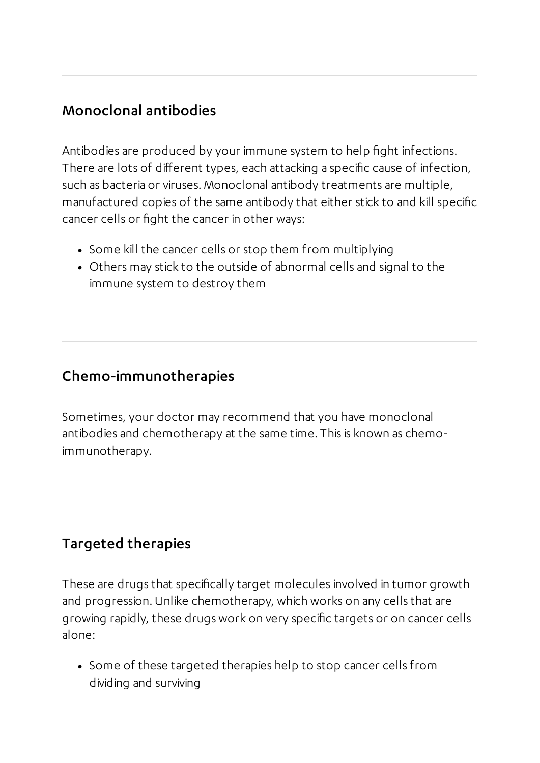## Monoclonal antibodies

Antibodies are produced by your immune system to help fight infections. There are lots of different types, each attacking a specific cause of infection, such as bacteria or viruses. Monoclonal antibody treatments are multiple, manufactured copies of the same antibody that either stick to and kill specific cancer cells or fight the cancer in other ways:

- Some kill the cancer cells or stop them from multiplying
- Others may stick to the outside of abnormal cells and signal to the immune system to destroy them

# Chemo-immunotherapies

Sometimes, your doctor may recommend that you have monoclonal antibodies and chemotherapy at the same time. This is known as chemoimmunotherapy.

# Targeted therapies

These are drugs that specifically target molecules involved in tumor growth and progression. Unlike chemotherapy, which works on any cells that are growing rapidly, these drugs work on very specific targets or on cancer cells alone:

• Some of these targeted therapies help to stop cancer cells from dividing and surviving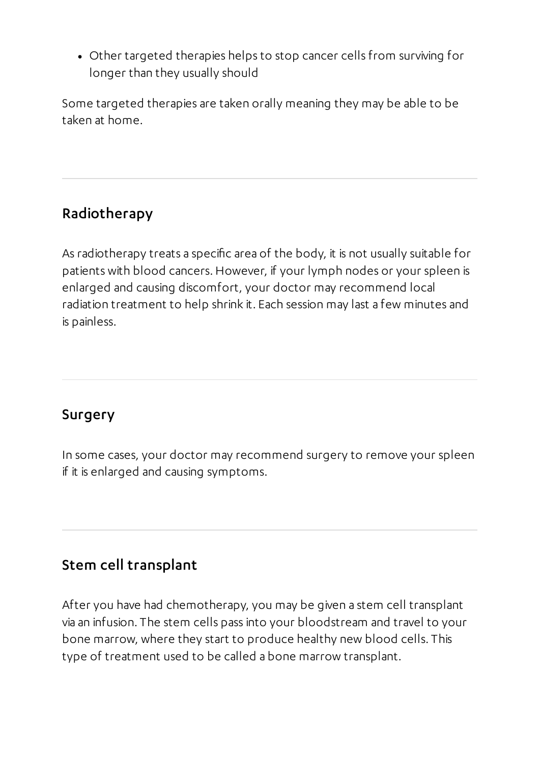Other targeted therapies helps to stop cancer cells from surviving for longer than they usually should

Some targeted therapies are taken orally meaning they may be able to be taken at home.

### Radiotherapy

As radiotherapy treats a specific area of the body, it is not usually suitable for patients with blood cancers.However, if your lymph nodes or your spleen is enlarged and causing discomfort, your doctor may recommend local radiation treatment to help shrink it. Each session may last a few minutes and is painless.

## Surgery

In some cases, your doctor may recommend surgery to remove your spleen if it is enlarged and causing symptoms.

# Stem cell transplant

After you have had chemotherapy, you may be given a stem cell transplant via an infusion. The stem cells pass into your bloodstream and travel to your bone marrow, where they start to produce healthy new blood cells. This type of treatment used to be called a bone marrow transplant.